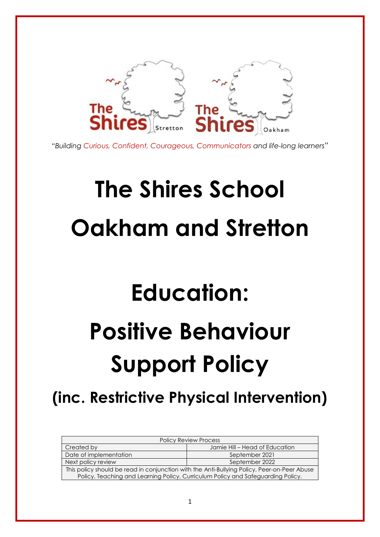

*"Building Curious, Confident, Courageous, Communicators and life-long learners"*

# **The Shires School Oakham and Stretton**

## **Education:**

## **Positive Behaviour Support Policy**

### **(inc. Restrictive Physical Intervention)**

| <b>Policy Review Process</b>                                                                |                                |
|---------------------------------------------------------------------------------------------|--------------------------------|
| Created by                                                                                  | Jamie Hill – Head of Education |
| Date of implementation                                                                      | September 2021                 |
| Next policy review                                                                          | September 2022                 |
| This policy should be read in conjunction with the Anti-Bullying Policy, Peer-on-Peer Abuse |                                |
| Policy, Teaching and Learning Policy, Curriculum Policy and Safeguarding Policy.            |                                |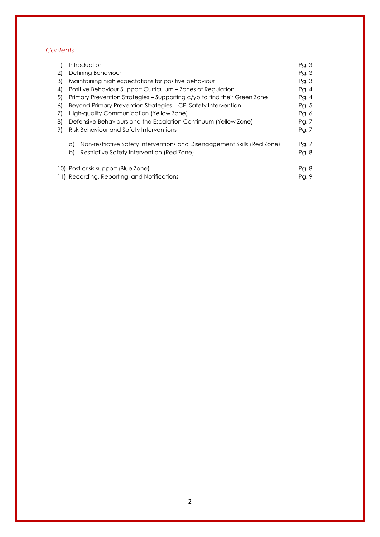#### *Contents*

| $\left  \right $ | Introduction                                                                   | Pg. 3 |
|------------------|--------------------------------------------------------------------------------|-------|
| 2)               | Defining Behaviour                                                             | Pg.3  |
| 3)               | Maintaining high expectations for positive behaviour                           | Pg. 3 |
| 4)               | Positive Behaviour Support Curriculum – Zones of Regulation                    | Pg.4  |
| 5)               | Primary Prevention Strategies – Supporting c/yp to find their Green Zone       | Pg.4  |
| 6)               | Beyond Primary Prevention Strategies – CPI Safety Intervention                 | Pg. 5 |
| 7)               | High-quality Communication (Yellow Zone)                                       | Pg. 6 |
| 8)               | Defensive Behaviours and the Escalation Continuum (Yellow Zone)                | Pg. 7 |
| 9)               | Risk Behaviour and Safety Interventions                                        | Pg. 7 |
|                  | Non-restrictive Safety Interventions and Disengagement Skills (Red Zone)<br>a) | Pg. 7 |
|                  | Restrictive Safety Intervention (Red Zone)<br>b)                               | Pg. 8 |
|                  | 10) Post-crisis support (Blue Zone)                                            | Pg. 8 |
|                  | 11) Recording, Reporting, and Notifications                                    | Pg. 9 |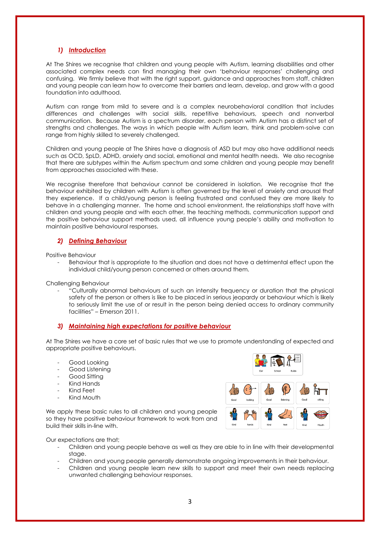#### *1) Introduction*

At The Shires we recognise that children and young people with Autism, learning disabilities and other associated complex needs can find managing their own 'behaviour responses' challenging and confusing. We firmly believe that with the right support, guidance and approaches from staff, children and young people can learn how to overcome their barriers and learn, develop, and grow with a good foundation into adulthood.

Autism can range from mild to severe and is a complex neurobehavioral condition that includes differences and challenges with social skills, repetitive behaviours, speech and nonverbal communication. Because Autism is a spectrum disorder, each person with Autism has a distinct set of strengths and challenges. The ways in which people with Autism learn, think and problem-solve can range from highly skilled to severely challenged.

Children and young people at The Shires have a diagnosis of ASD but may also have additional needs such as OCD, SpLD, ADHD, anxiety and social, emotional and mental health needs. We also recognise that there are subtypes within the Autism spectrum and some children and young people may benefit from approaches associated with these.

We recognise therefore that behaviour cannot be considered in isolation. We recognise that the behaviour exhibited by children with Autism is often governed by the level of anxiety and arousal that they experience. If a child/young person is feeling frustrated and confused they are more likely to behave in a challenging manner. The home and school environment, the relationships staff have with children and young people and with each other, the teaching methods, communication support and the positive behaviour support methods used, all influence young people's ability and motivation to maintain positive behavioural responses.

#### *2) Defining Behaviour*

Positive Behaviour

Behaviour that is appropriate to the situation and does not have a detrimental effect upon the individual child/young person concerned or others around them.

Challenging Behaviour

- "Culturally abnormal behaviours of such an intensity frequency or duration that the physical safety of the person or others is like to be placed in serious jeopardy or behaviour which is likely to seriously limit the use of or result in the person being denied access to ordinary community facilities" – Emerson 2011.

#### *3) Maintaining high expectations for positive behaviour*

At The Shires we have a core set of basic rules that we use to promote understanding of expected and appropriate positive behaviours.

- Good Looking
- Good Listening
- Good Sitting
- Kind Hands
- Kind Feet
- Kind Mouth

We apply these basic rules to all children and young people so they have positive behaviour framework to work from and build their skills in-line with.



Our expectations are that;

- Children and young people behave as well as they are able to in line with their developmental stage.
- Children and young people generally demonstrate ongoing improvements in their behaviour.
- Children and young people learn new skills to support and meet their own needs replacing unwanted challenging behaviour responses.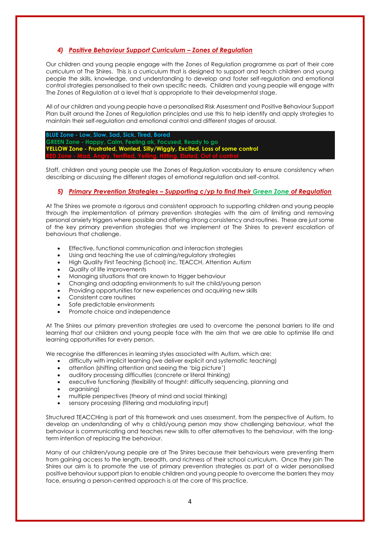#### *4) Positive Behaviour Support Curriculum – Zones of Regulation*

Our children and young people engage with the Zones of Regulation programme as part of their core curriculum at The Shires. This is a curriculum that is designed to support and teach children and young people the skills, knowledge, and understanding to develop and foster self-regulation and emotional control strategies personalised to their own specific needs. Children and young people will engage with The Zones of Regulation at a level that is appropriate to their developmental stage.

All of our children and young people have a personalised Risk Assessment and Positive Behaviour Support Plan built around the Zones of Regulation principles and use this to help identify and apply strategies to maintain their self-regulation and emotional control and different stages of arousal.

**BLUE Zone - Low, Slow, Sad, Sick, Tired, Bored GREEN Zone - Happy, Calm, Feeling ok, Focused, Ready to go YELLOW Zone - Frustrated, Worried, Silly/Wiggly, Excited, Loss of some control RED Zone - Mad, Angry, Terrified, Yelling, Hitting, Elated, Out of control**

Staff, children and young people use the Zones of Regulation vocabulary to ensure consistency when describing or discussing the different stages of emotional regulation and self-control.

#### *5) Primary Prevention Strategies – Supporting c/yp to find their Green Zone of Regulation*

At The Shires we promote a rigorous and consistent approach to supporting children and young people through the implementation of primary prevention strategies with the aim of limiting and removing personal anxiety triggers where possible and offering strong consistency and routines. These are just some of the key primary prevention strategies that we implement at The Shires to prevent escalation of behaviours that challenge.

- Effective, functional communication and interaction strategies
- Using and teaching the use of calming/regulatory strategies
- High Quality First Teaching (School) inc. TEACCH, Attention Autism
- Quality of life improvements
- Managing situations that are known to trigger behaviour
- Changing and adapting environments to suit the child/young person
- Providing opportunities for new experiences and acquiring new skills
- Consistent care routines
- Safe predictable environments
- Promote choice and independence

At The Shires our primary prevention strategies are used to overcome the personal barriers to life and learning that our children and young people face with the aim that we are able to optimise life and learning opportunities for every person.

We recognise the differences in learning styles associated with Autism, which are:

- difficulty with implicit learning (we deliver explicit and systematic teaching)
- attention (shifting attention and seeing the 'big picture')
- auditory processing difficulties (concrete or literal thinking)
- executive functioning (flexibility of thought: difficulty sequencing, planning and
- organising)
- multiple perspectives (theory of mind and social thinking)
- sensory processing (filtering and modulating input)

Structured TEACCHing is part of this framework and uses assessment, from the perspective of Autism, to develop an understanding of why a child/young person may show challenging behaviour, what the behaviour is communicating and teaches new skills to offer alternatives to the behaviour, with the longterm intention of replacing the behaviour.

Many of our children/young people are at The Shires because their behaviours were preventing them from gaining access to the length, breadth, and richness of their school curriculum. Once they join The Shires our aim is to promote the use of primary prevention strategies as part of a wider personalised positive behaviour support plan to enable children and young people to overcome the barriers they may face, ensuring a person-centred approach is at the core of this practice.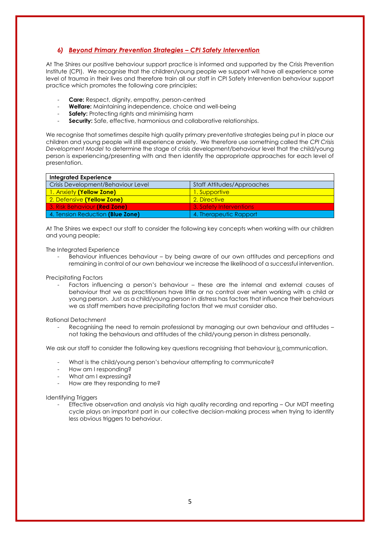#### *6) Beyond Primary Prevention Strategies – CPI Safety Intervention*

At The Shires our positive behaviour support practice is informed and supported by the Crisis Prevention Institute (CPI). We recognise that the children/young people we support will have all experience some level of trauma in their lives and therefore train all our staff in CPI Safety Intervention behaviour support practice which promotes the following core principles;

- Care: Respect, dignity, empathy, person-centred
- Welfare: Maintaining independence, choice and well-being
- **Safety:** Protecting rights and minimising harm
- Security: Safe, effective, harmonious and collaborative relationships.

We recognise that sometimes despite high quality primary preventative strategies being put in place our children and young people will still experience anxiety. We therefore use something called the *CPI Crisis Development Model* to determine the stage of crisis development/behaviour level that the child/young person is experiencing/presenting with and then identify the appropriate approaches for each level of presentation.

| <b>Integrated Experience</b>        |                            |
|-------------------------------------|----------------------------|
| Crisis Development/Behaviour Level  | Staff Attitudes/Approaches |
| 1. Anxiety (Yellow Zone)            | 1. Supportive              |
| 2. Defensive (Yellow Zone)          | 2. Directive               |
| <b>3. Risk Behaviour (Red Zone)</b> | 3. Safety Interventions    |
| 4. Tension Reduction (Blue Zone)    | 4. Therapeutic Rapport     |

At The Shires we expect our staff to consider the following key concepts when working with our children and young people;

The Integrated Experience

Behaviour influences behaviour – by being aware of our own attitudes and perceptions and remaining in control of our own behaviour we increase the likelihood of a successful intervention.

Precipitating Factors

Factors influencing a person's behaviour – these are the internal and external causes of behaviour that we as practitioners have little or no control over when working with a child or young person. Just as a child/young person in distress has factors that influence their behaviours we as staff members have precipitating factors that we must consider also.

Rational Detachment

Recognising the need to remain professional by managing our own behaviour and attitudes not taking the behaviours and attitudes of the child/young person in distress personally.

We ask our staff to consider the following key questions recognising that behaviour is communication.

- What is the child/young person's behaviour attempting to communicate?
- How am I responding?
- What am I expressing?
- How are they responding to me?

Identifying Triggers

Effective observation and analysis via high quality recording and reporting – Our MDT meeting cycle plays an important part in our collective decision-making process when trying to identify less obvious triggers to behaviour.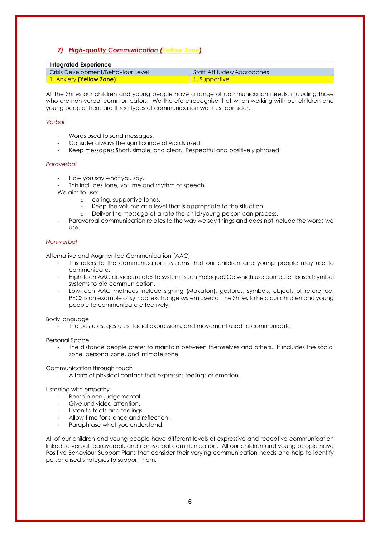#### *7) High-quality Communication (Yellow Zone)*

| Integrated Experience              |                            |  |
|------------------------------------|----------------------------|--|
| Crisis Development/Behaviour Level | Staff Attitudes/Approaches |  |
| <b>1. Anxiety (Yellow Zone)</b>    | <u> \]. Supportive \</u>   |  |

At The Shires our children and young people have a range of communication needs, including those who are non-verbal communicators. We therefore recognise that when working with our children and young people there are three types of communication we must consider.

#### *Verbal*

- Words used to send messages.
- Consider always the significance of words used.
- Keep messages: Short, simple, and clear. Respectful and positively phrased.

#### *Paraverbal*

- How you say what you say.
- This includes tone, volume and rhythm of speech
- We aim to use:
	- o caring, supportive tones.
	- o Keep the volume at a level that is appropriate to the situation.
	- o Deliver the message at a rate the child/young person can process.
- Paraverbal communication relates to the way we say things and does not include the words we use.

#### *Non-verbal*

Alternative and Augmented Communication (AAC)

- This refers to the communications systems that our children and young people may use to communicate.
- High-tech AAC devices relates to systems such Proloquo2Go which use computer-based symbol systems to aid communication.
- Low-tech AAC methods include signing (Makaton), gestures, symbols, objects of reference. PECS is an example of symbol exchange system used at The Shires to help our children and young people to communicate effectively.

#### Body language

The postures, gestures, facial expressions, and movement used to communicate.

Personal Space

The distance people prefer to maintain between themselves and others. It includes the social zone, personal zone, and intimate zone.

Communication through touch

A form of physical contact that expresses feelings or emotion.

#### Listening with empathy

- Remain non-judgemental.
- Give undivided attention
- Listen to facts and feelings.
- Allow time for silence and reflection
- Paraphrase what you understand.

All of our children and young people have different levels of expressive and receptive communication linked to verbal, paraverbal, and non-verbal communication. All our children and young people have Positive Behaviour Support Plans that consider their varying communication needs and help to identify personalised strategies to support them.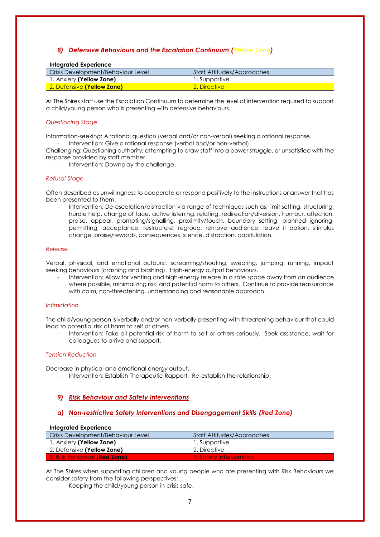#### *8) Defensive Behaviours and the Escalation Continuum (Yellow Zone)*

| Integrated Experience              |                            |
|------------------------------------|----------------------------|
| Crisis Development/Behaviour Level | Staff Attitudes/Approaches |
| 1. Anxiety (Yellow Zone)           | 1. Supportive              |
| 2. Defensive (Yellow Zone)         | 2. Directive               |

At The Shires staff use the Escalation Continuum to determine the level of intervention required to support a child/young person who is presenting with defensive behaviours.

#### *Questioning Stage*

Information-seeking: A rational question (verbal and/or non-verbal) seeking a rational response. Intervention: Give a rational response (verbal and/or non-verbal).

Challenging: Questioning authority; attempting to draw staff into a power struggle, or unsatisfied with the response provided by staff member.

Intervention: Downplay the challenge.

#### *Refusal Stage*

Often described as unwillingness to cooperate or respond positively to the instructions or answer that has been presented to them.

Intervention: De-escalation/distraction via range of techniques such as; limit setting, structuring, hurdle help, change of face, active listening, relating, redirection/diversion, humour, affection, praise, appeal, prompting/signalling, proximity/touch, boundary setting, planned ignoring, permitting, acceptance, restructure, regroup, remove audience, leave it option, stimulus change, praise/rewards, consequences, silence, distraction, capitulation.

#### *Release*

Verbal, physical, and emotional outburst: screaming/shouting, swearing, jumping, running, impact seeking behaviours (crashing and bashing). High-energy output behaviours.

Intervention: Allow for venting and high-energy release in a safe space away from an audience where possible, minimalizing risk, and potential harm to others. Continue to provide reassurance with calm, non-threatening, understanding and reasonable approach.

#### *Intimidation*

The child/young person is verbally and/or non-verbally presenting with threatening behaviour that could lead to potential risk of harm to self or others.

Intervention: Take all potential risk of harm to self or others seriously. Seek assistance, wait for colleagues to arrive and support.

#### *Tension Reduction*

Decrease in physical and emotional energy output.

- Intervention: Establish Therapeutic Rapport. Re-establish the relationship.

#### *9) Risk Behaviour and Safety Interventions*

#### *a) Non-restrictive Safety Interventions and Disengagement Skills (Red Zone)*

| <b>Integrated Experience</b>        |                            |
|-------------------------------------|----------------------------|
| Crisis Development/Behaviour Level  | Staff Attitudes/Approaches |
| 1. Anxiety (Yellow Zone)            | 1. Supportive              |
| 2. Defensive (Yellow Zone)          | 2. Directive               |
| <b>3. Risk Behaviour (Red Zone)</b> | 3. Safety Interventions    |

At The Shires when supporting children and young people who are presenting with Risk Behaviours we consider safety from the following perspectives;

Keeping the child/young person in crisis safe.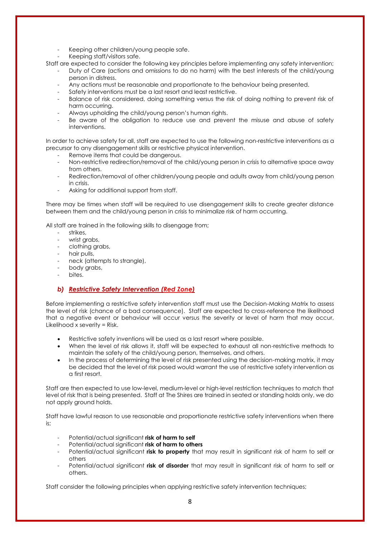- Keeping other children/young people safe.
- Keeping staff/visitors safe.

Staff are expected to consider the following key principles before implementing any safety intervention;

- Duty of Care (actions and omissions to do no harm) with the best interests of the child/young person in distress.
- Any actions must be reasonable and proportionate to the behaviour being presented.
- Safety interventions must be a last resort and least restrictive.
- Balance of risk considered, doing something versus the risk of doing nothing to prevent risk of harm occurring.
- Always upholding the child/young person's human rights.
- Be aware of the obligation to reduce use and prevent the misuse and abuse of safety interventions.

In order to achieve safety for all, staff are expected to use the following non-restrictive interventions as a precursor to any disengagement skills or restrictive physical intervention.

- Remove items that could be dangerous.
- Non-restrictive redirection/removal of the child/young person in crisis to alternative space away from others.
- Redirection/removal of other children/young people and adults away from child/young person in crisis.
- Asking for additional support from staff.

There may be times when staff will be required to use disengagement skills to create greater distance between them and the child/young person in crisis to minimalize risk of harm occurring.

All staff are trained in the following skills to disengage from;

- strikes.
- wrist grabs,
- clothing grabs,
- hair pulls,
- neck (attempts to strangle),
- body grabs,
- bites.

#### *b) Restrictive Safety Intervention (Red Zone)*

Before implementing a restrictive safety intervention staff must use the Decision-Making Matrix to assess the level of risk (chance of a bad consequence). Staff are expected to cross-reference the likelihood that a negative event or behaviour will occur versus the severity or level of harm that may occur, Likelihood x severity = Risk.

- Restrictive safety inventions will be used as a last resort where possible.
- When the level of risk allows it, staff will be expected to exhaust all non-restrictive methods to maintain the safety of the child/young person, themselves, and others.
- In the process of determining the level of risk presented using the decision-making matrix, it may be decided that the level of risk posed would warrant the use of restrictive safety intervention as a first resort.

Staff are then expected to use low-level, medium-level or high-level restriction techniques to match that level of risk that is being presented. Staff at The Shires are trained in seated or standing holds only, we do not apply ground holds.

Staff have lawful reason to use reasonable and proportionate restrictive safety interventions when there is;

- Potential/actual significant **risk of harm to self**
- Potential/actual significant risk of harm to others
- Potential/actual significant **risk to property** that may result in significant risk of harm to self or others
- Potential/actual significant **risk of disorder** that may result in significant risk of harm to self or others.

Staff consider the following principles when applying restrictive safety intervention techniques;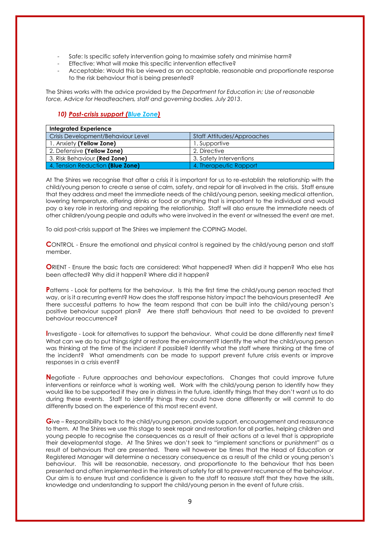- Safe: Is specific safety intervention going to maximise safety and minimise harm?
- Effective: What will make this specific intervention effective?
- Acceptable: Would this be viewed as an acceptable, reasonable and proportionate response to the risk behaviour that is being presented?

The Shires works with the advice provided by the *Department for Education in; Use of reasonable force, Advice for Headteachers, staff and governing bodies. July 2013*.

#### *10) Post-crisis support (Blue Zone)*

| <b>Integrated Experience</b>       |                            |  |
|------------------------------------|----------------------------|--|
| Crisis Development/Behaviour Level | Staff Attitudes/Approaches |  |
| 1. Anxiety (Yellow Zone)           | 1. Supportive              |  |
| 2. Defensive (Yellow Zone)         | 2. Directive               |  |
| 3. Risk Behaviour (Red Zone)       | 3. Safety Interventions    |  |
| 4. Tension Reduction (Blue Zone)   | 4. Therapeutic Rapport     |  |

At The Shires we recognise that after a crisis it is important for us to re-establish the relationship with the child/young person to create a sense of calm, safety, and repair for all involved in the crisis. Staff ensure that they address and meet the immediate needs of the child/young person, seeking medical attention, lowering temperature, offering drinks or food or anything that is important to the individual and would pay a key role in restoring and repairing the relationship. Staff will also ensure the immediate needs of other children/young people and adults who were involved in the event or witnessed the event are met.

To aid post-crisis support at The Shires we implement the COPING Model.

**C**ONTROL - Ensure the emotional and physical control is regained by the child/young person and staff member.

**O**RIENT - Ensure the basic facts are considered: What happened? When did it happen? Who else has been affected? Why did it happen? Where did it happen?

**P**atterns - Look for patterns for the behaviour. Is this the first time the child/young person reacted that way, or is it a recurring event? How does the staff response history impact the behaviours presented? Are there successful patterns to how the team respond that can be built into the child/young person's positive behaviour support plan? Are there staff behaviours that need to be avoided to prevent behaviour reoccurrence?

**I**nvestigate - Look for alternatives to support the behaviour. What could be done differently next time? What can we do to put things right or restore the environment? Identify the what the child/young person was thinking at the time of the incident if possible? Identify what the staff where thinking at the time of the incident? What amendments can be made to support prevent future crisis events or improve responses in a crisis event?

**N**egotiate - Future approaches and behaviour expectations. Changes that could improve future interventions or reinforce what is working well. Work with the child/young person to identify how they would like to be supported if they are in distress in the future, identify things that they don't want us to do during these events. Staff to identify things they could have done differently or will commit to do differently based on the experience of this most recent event.

**G**ive – Responsibility back to the child/young person, provide support, encouragement and reassurance to them. At The Shires we use this stage to seek repair and restoration for all parties, helping children and young people to recognise the consequences as a result of their actions at a level that is appropriate their developmental stage. At The Shires we don't seek to "implement sanctions or punishment" as a result of behaviours that are presented. There will however be times that the Head of Education or Registered Manager will determine a necessary consequence as a result of the child or young person's behaviour. This will be reasonable, necessary, and proportionate to the behaviour that has been presented and often implemented in the interests of safety for all to prevent recurrence of the behaviour. Our aim is to ensure trust and confidence is given to the staff to reassure staff that they have the skills, knowledge and understanding to support the child/young person in the event of future crisis.